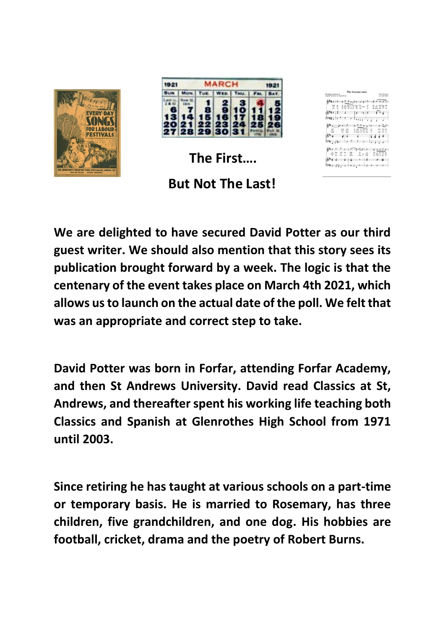

| 1921 | <b>MARCH</b><br>192 |                |         |  |  |  |
|------|---------------------|----------------|---------|--|--|--|
|      |                     |                |         |  |  |  |
|      |                     | 27 28 29 30 31 | e.<br>G |  |  |  |

**The First….**

## **But Not The Last!**

| Billy Fergy's mondation of<br>engined french brics by Engine Pointer | The Internationale                                                                                        |                                                                      |         |                          |                                                                    | Pierr De Gevier<br>are Justy Kender                              |
|----------------------------------------------------------------------|-----------------------------------------------------------------------------------------------------------|----------------------------------------------------------------------|---------|--------------------------|--------------------------------------------------------------------|------------------------------------------------------------------|
| ÷<br>La<br>m<br>٠                                                    | 16 - 500 IT 16 - \$10 - 600<br>×<br>our build such to all - ride - on Walk-<br>because the first time and | $\mathbf{r}$ , $\mathbf{r}$ and                                      | <br>۰   |                          | - new first year<br>he views that made not<br>the seventy and I am | <b>A</b>                                                         |
|                                                                      |                                                                                                           | 58                                                                   |         |                          |                                                                    |                                                                  |
|                                                                      |                                                                                                           |                                                                      |         |                          |                                                                    |                                                                  |
|                                                                      |                                                                                                           |                                                                      |         |                          |                                                                    |                                                                  |
| 98<br>rade<br>÷<br><b>WWW</b><br>w<br>sea                            | <b>Doct</b><br>of form<br>Care<br>point<br>W.<br><b>Contract</b>                                          | w hel in you go<br>the Area was want the -<br>an board be they don't |         | $\sim$<br><b>MA</b><br>٠ | sams.<br>×.<br><b>CALLS</b>                                        | <b>Kar</b><br>here<br><b>Civil</b><br><b>Section</b><br>×.<br>a. |
|                                                                      |                                                                                                           |                                                                      |         |                          |                                                                    |                                                                  |
|                                                                      |                                                                                                           |                                                                      |         |                          |                                                                    |                                                                  |
| $\sim$                                                               | rute<br>٠<br>ż<br>×<br><b>Security</b>                                                                    | $\frac{1}{2}$<br>۰<br><b>British</b>                                 |         | $-1$                     | & - not used for<br>per count by on the                            |                                                                  |
| <b>Ken</b><br>m                                                      | stocki<br>m4                                                                                              | ٠<br>What we<br>- 2                                                  | 1 Falls |                          | gra-roked by their ag -                                            |                                                                  |

**We are delighted to have secured David Potter as our third guest writer. We should also mention that this story sees its publication brought forward by a week. The logic is that the centenary of the event takes place on March 4th 2021, which allows us to launch on the actual date of the poll. We felt that was an appropriate and correct step to take.**

**David Potter was born in Forfar, attending Forfar Academy, and then St Andrews University. David read Classics at St, Andrews, and thereafter spent his working life teaching both Classics and Spanish at Glenrothes High School from 1971 until 2003.**

**Since retiring he has taught at various schools on a part-time or temporary basis. He is married to Rosemary, has three children, five grandchildren, and one dog. His hobbies are football, cricket, drama and the poetry of Robert Burns.**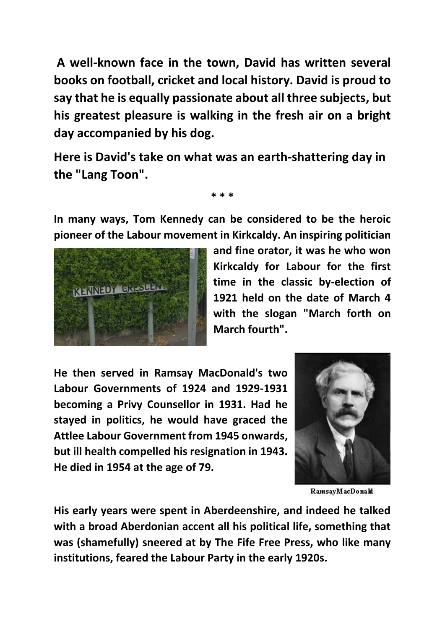**A well-known face in the town, David has written several books on football, cricket and local history. David is proud to say that he is equally passionate about all three subjects, but his greatest pleasure is walking in the fresh air on a bright day accompanied by his dog.**

**Here is David's take on what was an earth-shattering day in the "Lang Toon".**

**In many ways, Tom Kennedy can be considered to be the heroic pioneer of the Labour movement in Kirkcaldy. An inspiring politician** 

**\* \* \***



**and fine orator, it was he who won Kirkcaldy for Labour for the first time in the classic by-election of 1921 held on the date of March 4 with the slogan "March forth on March fourth".**

**He then served in Ramsay MacDonald's two Labour Governments of 1924 and 1929-1931 becoming a Privy Counsellor in 1931. Had he stayed in politics, he would have graced the Attlee Labour Government from 1945 onwards, but ill health compelled his resignation in 1943. He died in 1954 at the age of 79.**



RamsayMacDonald

**His early years were spent in Aberdeenshire, and indeed he talked with a broad Aberdonian accent all his political life, something that was (shamefully) sneered at by The Fife Free Press, who like many institutions, feared the Labour Party in the early 1920s.**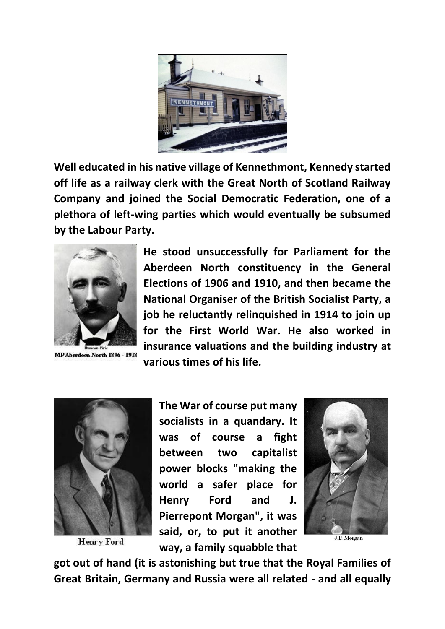

**Well educated in his native village of Kennethmont, Kennedy started off life as a railway clerk with the Great North of Scotland Railway Company and joined the Social Democratic Federation, one of a plethora of left-wing parties which would eventually be subsumed by the Labour Party.**



MP Aberdeen North 1896 - 1918

**He stood unsuccessfully for Parliament for the Aberdeen North constituency in the General Elections of 1906 and 1910, and then became the National Organiser of the British Socialist Party, a job he reluctantly relinquished in 1914 to join up for the First World War. He also worked in insurance valuations and the building industry at various times of his life.**



**Henry Ford** 

**The War of course put many socialists in a quandary. It was of course a fight between two capitalist power blocks "making the world a safer place for Henry Ford and J. Pierrepont Morgan", it was said, or, to put it another way, a family squabble that** 



**got out of hand (it is astonishing but true that the Royal Families of Great Britain, Germany and Russia were all related - and all equally**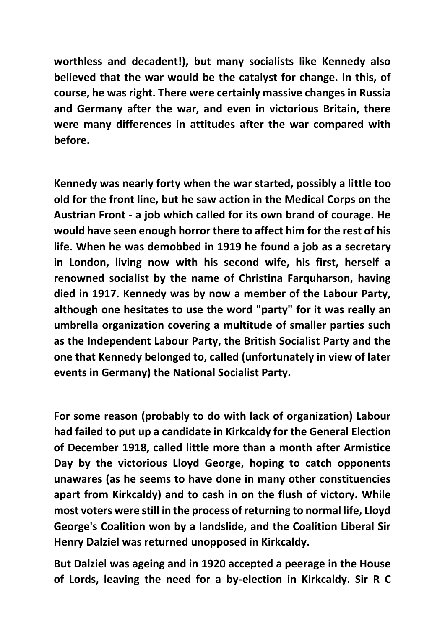**worthless and decadent!), but many socialists like Kennedy also believed that the war would be the catalyst for change. In this, of course, he was right. There were certainly massive changes in Russia and Germany after the war, and even in victorious Britain, there were many differences in attitudes after the war compared with before.**

**Kennedy was nearly forty when the war started, possibly a little too old for the front line, but he saw action in the Medical Corps on the Austrian Front - a job which called for its own brand of courage. He would have seen enough horror there to affect him for the rest of his life. When he was demobbed in 1919 he found a job as a secretary in London, living now with his second wife, his first, herself a renowned socialist by the name of Christina Farquharson, having died in 1917. Kennedy was by now a member of the Labour Party, although one hesitates to use the word "party" for it was really an umbrella organization covering a multitude of smaller parties such as the Independent Labour Party, the British Socialist Party and the one that Kennedy belonged to, called (unfortunately in view of later events in Germany) the National Socialist Party.**

**For some reason (probably to do with lack of organization) Labour had failed to put up a candidate in Kirkcaldy for the General Election of December 1918, called little more than a month after Armistice Day by the victorious Lloyd George, hoping to catch opponents unawares (as he seems to have done in many other constituencies apart from Kirkcaldy) and to cash in on the flush of victory. While most voters were still in the process of returning to normal life, Lloyd George's Coalition won by a landslide, and the Coalition Liberal Sir Henry Dalziel was returned unopposed in Kirkcaldy.**

**But Dalziel was ageing and in 1920 accepted a peerage in the House of Lords, leaving the need for a by-election in Kirkcaldy. Sir R C**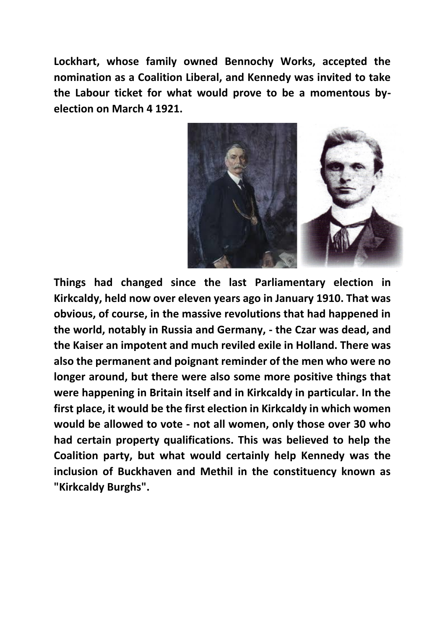**Lockhart, whose family owned Bennochy Works, accepted the nomination as a Coalition Liberal, and Kennedy was invited to take the Labour ticket for what would prove to be a momentous byelection on March 4 1921.**



**Things had changed since the last Parliamentary election in Kirkcaldy, held now over eleven years ago in January 1910. That was obvious, of course, in the massive revolutions that had happened in the world, notably in Russia and Germany, - the Czar was dead, and the Kaiser an impotent and much reviled exile in Holland. There was also the permanent and poignant reminder of the men who were no longer around, but there were also some more positive things that were happening in Britain itself and in Kirkcaldy in particular. In the first place, it would be the first election in Kirkcaldy in which women would be allowed to vote - not all women, only those over 30 who had certain property qualifications. This was believed to help the Coalition party, but what would certainly help Kennedy was the inclusion of Buckhaven and Methil in the constituency known as "Kirkcaldy Burghs".**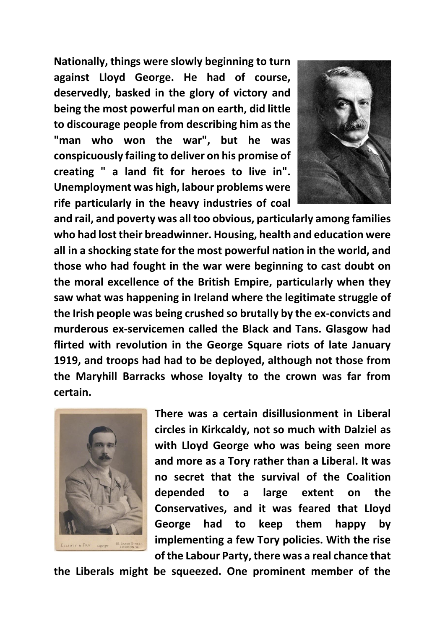**Nationally, things were slowly beginning to turn against Lloyd George. He had of course, deservedly, basked in the glory of victory and being the most powerful man on earth, did little to discourage people from describing him as the "man who won the war", but he was conspicuously failing to deliver on his promise of creating " a land fit for heroes to live in". Unemployment was high, labour problems were rife particularly in the heavy industries of coal** 



**and rail, and poverty was all too obvious, particularly among families who had lost their breadwinner. Housing, health and education were all in a shocking state for the most powerful nation in the world, and those who had fought in the war were beginning to cast doubt on the moral excellence of the British Empire, particularly when they saw what was happening in Ireland where the legitimate struggle of the Irish people was being crushed so brutally by the ex-convicts and murderous ex-servicemen called the Black and Tans. Glasgow had flirted with revolution in the George Square riots of late January 1919, and troops had had to be deployed, although not those from the Maryhill Barracks whose loyalty to the crown was far from certain.**



**There was a certain disillusionment in Liberal circles in Kirkcaldy, not so much with Dalziel as with Lloyd George who was being seen more and more as a Tory rather than a Liberal. It was no secret that the survival of the Coalition depended to a large extent on the Conservatives, and it was feared that Lloyd George had to keep them happy by implementing a few Tory policies. With the rise of the Labour Party, there was a real chance that** 

**the Liberals might be squeezed. One prominent member of the**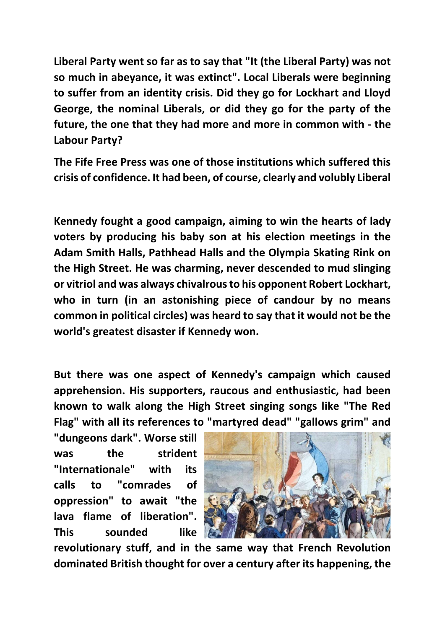**Liberal Party went so far as to say that "It (the Liberal Party) was not so much in abeyance, it was extinct". Local Liberals were beginning to suffer from an identity crisis. Did they go for Lockhart and Lloyd George, the nominal Liberals, or did they go for the party of the future, the one that they had more and more in common with - the Labour Party?**

**The Fife Free Press was one of those institutions which suffered this crisis of confidence. It had been, of course, clearly and volubly Liberal**

**Kennedy fought a good campaign, aiming to win the hearts of lady voters by producing his baby son at his election meetings in the Adam Smith Halls, Pathhead Halls and the Olympia Skating Rink on the High Street. He was charming, never descended to mud slinging or vitriol and was always chivalrous to his opponent Robert Lockhart, who in turn (in an astonishing piece of candour by no means common in political circles) was heard to say that it would not be the world's greatest disaster if Kennedy won.**

**But there was one aspect of Kennedy's campaign which caused apprehension. His supporters, raucous and enthusiastic, had been known to walk along the High Street singing songs like "The Red Flag" with all its references to "martyred dead" "gallows grim" and** 

**"dungeons dark". Worse still was the strident "Internationale" with its calls to "comrades of oppression" to await "the lava flame of liberation". This sounded like** 



**revolutionary stuff, and in the same way that French Revolution dominated British thought for over a century after its happening, the**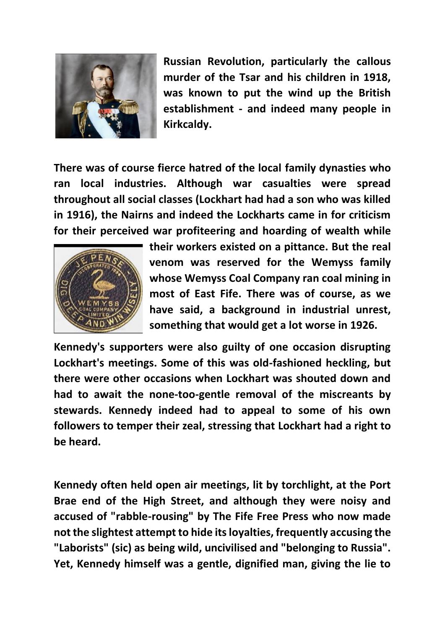

**Russian Revolution, particularly the callous murder of the Tsar and his children in 1918, was known to put the wind up the British establishment - and indeed many people in Kirkcaldy.**

**There was of course fierce hatred of the local family dynasties who ran local industries. Although war casualties were spread throughout all social classes (Lockhart had had a son who was killed in 1916), the Nairns and indeed the Lockharts came in for criticism for their perceived war profiteering and hoarding of wealth while** 



**their workers existed on a pittance. But the real venom was reserved for the Wemyss family whose Wemyss Coal Company ran coal mining in most of East Fife. There was of course, as we have said, a background in industrial unrest, something that would get a lot worse in 1926.**

**Kennedy's supporters were also guilty of one occasion disrupting Lockhart's meetings. Some of this was old-fashioned heckling, but there were other occasions when Lockhart was shouted down and had to await the none-too-gentle removal of the miscreants by stewards. Kennedy indeed had to appeal to some of his own followers to temper their zeal, stressing that Lockhart had a right to be heard.**

**Kennedy often held open air meetings, lit by torchlight, at the Port Brae end of the High Street, and although they were noisy and accused of "rabble-rousing" by The Fife Free Press who now made not the slightest attempt to hide its loyalties, frequently accusing the "Laborists" (sic) as being wild, uncivilised and "belonging to Russia". Yet, Kennedy himself was a gentle, dignified man, giving the lie to**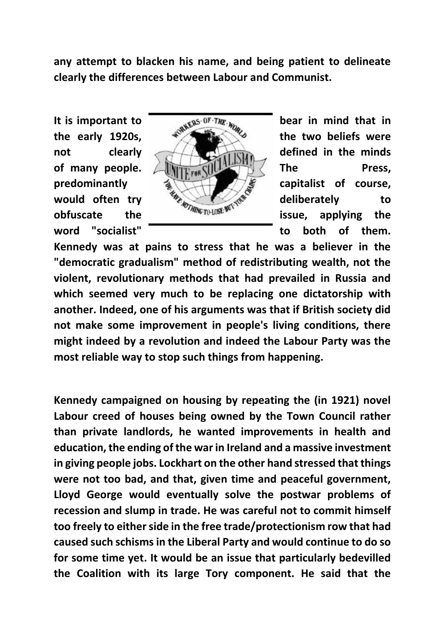**any attempt to blacken his name, and being patient to delineate clearly the differences between Labour and Communist.**



word "socialist" **word "socialist" to both of them.** 

**Kennedy was at pains to stress that he was a believer in the "democratic gradualism" method of redistributing wealth, not the violent, revolutionary methods that had prevailed in Russia and which seemed very much to be replacing one dictatorship with another. Indeed, one of his arguments was that if British society did not make some improvement in people's living conditions, there might indeed by a revolution and indeed the Labour Party was the most reliable way to stop such things from happening.**

**Kennedy campaigned on housing by repeating the (in 1921) novel Labour creed of houses being owned by the Town Council rather than private landlords, he wanted improvements in health and education, the ending of the war in Ireland and a massive investment in giving people jobs. Lockhart on the other hand stressed that things were not too bad, and that, given time and peaceful government, Lloyd George would eventually solve the postwar problems of recession and slump in trade. He was careful not to commit himself too freely to either side in the free trade/protectionism row that had caused such schisms in the Liberal Party and would continue to do so for some time yet. It would be an issue that particularly bedevilled the Coalition with its large Tory component. He said that the**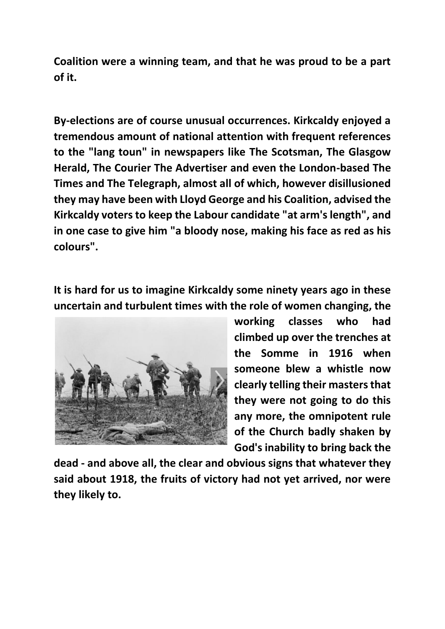**Coalition were a winning team, and that he was proud to be a part of it.**

**By-elections are of course unusual occurrences. Kirkcaldy enjoyed a tremendous amount of national attention with frequent references to the "lang toun" in newspapers like The Scotsman, The Glasgow Herald, The Courier The Advertiser and even the London-based The Times and The Telegraph, almost all of which, however disillusioned they may have been with Lloyd George and his Coalition, advised the Kirkcaldy voters to keep the Labour candidate "at arm's length", and in one case to give him "a bloody nose, making his face as red as his colours".**

**It is hard for us to imagine Kirkcaldy some ninety years ago in these uncertain and turbulent times with the role of women changing, the** 



**working classes who had climbed up over the trenches at the Somme in 1916 when someone blew a whistle now clearly telling their masters that they were not going to do this any more, the omnipotent rule of the Church badly shaken by God's inability to bring back the** 

**dead - and above all, the clear and obvious signs that whatever they said about 1918, the fruits of victory had not yet arrived, nor were they likely to.**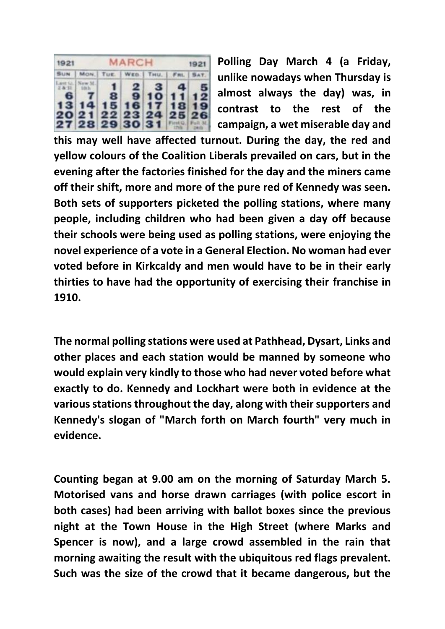| 1921 | MARCH<br>1921 |  |  |                                                                                                                                                                                                                              |  |  |
|------|---------------|--|--|------------------------------------------------------------------------------------------------------------------------------------------------------------------------------------------------------------------------------|--|--|
|      |               |  |  | SUN   MON.   TUE.   WED.   THU.   FRI.   SAT.                                                                                                                                                                                |  |  |
|      |               |  |  | $\frac{1.5 \times 10}{2.8 \times 11}$ $\frac{1 \times 10 \times 11}{1 \times 10 \times 11}$ 1 2 3 4 5<br>6 7 8 9 10 11 12<br>13 14 15 16 17 18 19<br>20 21 22 23 24 25 26<br>$27$ 28 29 30 31 $\frac{1}{20}$ $\frac{30}{20}$ |  |  |

**Polling Day March 4 (a Friday, unlike nowadays when Thursday is almost always the day) was, in contrast to the rest of the campaign, a wet miserable day and** 

**this may well have affected turnout. During the day, the red and yellow colours of the Coalition Liberals prevailed on cars, but in the evening after the factories finished for the day and the miners came off their shift, more and more of the pure red of Kennedy was seen. Both sets of supporters picketed the polling stations, where many people, including children who had been given a day off because their schools were being used as polling stations, were enjoying the novel experience of a vote in a General Election. No woman had ever voted before in Kirkcaldy and men would have to be in their early thirties to have had the opportunity of exercising their franchise in 1910.**

**The normal polling stations were used at Pathhead, Dysart, Links and other places and each station would be manned by someone who would explain very kindly to those who had never voted before what exactly to do. Kennedy and Lockhart were both in evidence at the various stations throughout the day, along with their supporters and Kennedy's slogan of "March forth on March fourth" very much in evidence.**

**Counting began at 9.00 am on the morning of Saturday March 5. Motorised vans and horse drawn carriages (with police escort in both cases) had been arriving with ballot boxes since the previous night at the Town House in the High Street (where Marks and Spencer is now), and a large crowd assembled in the rain that morning awaiting the result with the ubiquitous red flags prevalent. Such was the size of the crowd that it became dangerous, but the**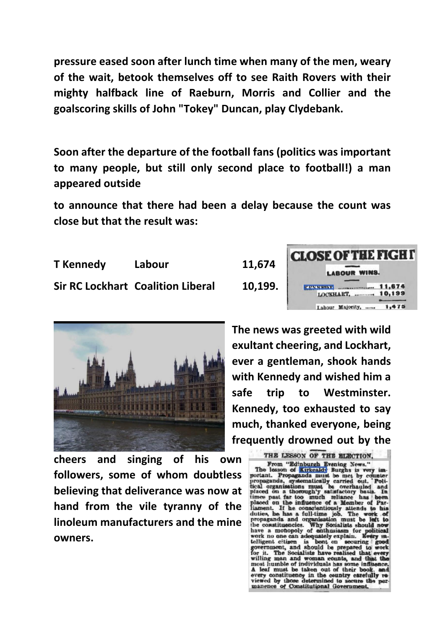**pressure eased soon after lunch time when many of the men, weary of the wait, betook themselves off to see Raith Rovers with their mighty halfback line of Raeburn, Morris and Collier and the goalscoring skills of John "Tokey" Duncan, play Clydebank.**

**Soon after the departure of the football fans (politics was important to many people, but still only second place to football!) a man appeared outside**

**to announce that there had been a delay because the count was close but that the result was:**

**T Kennedy Labour 11,674 Sir RC Lockhart Coalition Liberal 10,199.**





**cheers and singing of his own followers, some of whom doubtless believing that deliverance was now at hand from the vile tyranny of the linoleum manufacturers and the mine owners.**

**The news was greeted with wild exultant cheering, and Lockhart, ever a gentleman, shook hands with Kennedy and wished him a safe trip to Westminster. Kennedy, too exhausted to say much, thanked everyone, being frequently drowned out by the** 

THE LESSON OF THE ELECTION,<br>
From "Edinburgh Evening News."<br>
The lesson of Kirkcaldy Burghs is very im-<br>
portant. Propaganda must be met by counter-<br>
propaganda, systematically carried out, Poli-<br>
propaganda, systematicall THE LESSON OF THE ELECTION.